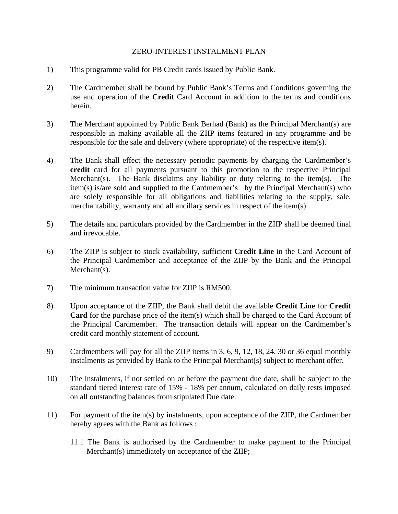## ZERO-INTEREST INSTALMENT PLAN

- 1) This programme valid for PB Credit cards issued by Public Bank.
- 2) The Cardmember shall be bound by Public Bank's Terms and Conditions governing the use and operation of the **Credit** Card Account in addition to the terms and conditions herein.
- 3) The Merchant appointed by Public Bank Berhad (Bank) as the Principal Merchant(s) are responsible in making available all the ZIIP items featured in any programme and be responsible for the sale and delivery (where appropriate) of the respective item(s).
- 4) The Bank shall effect the necessary periodic payments by charging the Cardmember's **credit** card for all payments pursuant to this promotion to the respective Principal Merchant(s). The Bank disclaims any liability or duty relating to the item(s). The item(s) is/are sold and supplied to the Cardmember's by the Principal Merchant(s) who are solely responsible for all obligations and liabilities relating to the supply, sale, merchantability, warranty and all ancillary services in respect of the item(s).
- 5) The details and particulars provided by the Cardmember in the ZIIP shall be deemed final and irrevocable.
- 6) The ZIIP is subject to stock availability, sufficient **Credit Line** in the Card Account of the Principal Cardmember and acceptance of the ZIIP by the Bank and the Principal Merchant(s).
- 7) The minimum transaction value for ZIIP is RM500.
- 8) Upon acceptance of the ZIIP, the Bank shall debit the available **Credit Line** for **Credit Card** for the purchase price of the item(s) which shall be charged to the Card Account of the Principal Cardmember. The transaction details will appear on the Cardmember's credit card monthly statement of account.
- 9) Cardmembers will pay for all the ZIIP items in 3, 6, 9, 12, 18, 24, 30 or 36 equal monthly instalments as provided by Bank to the Principal Merchant(s) subject to merchant offer.
- 10) The instalments, if not settled on or before the payment due date, shall be subject to the standard tiered interest rate of 15% - 18% per annum, calculated on daily rests imposed on all outstanding balances from stipulated Due date.
- 11) For payment of the item(s) by instalments, upon acceptance of the ZIIP, the Cardmember hereby agrees with the Bank as follows :
	- 11.1 The Bank is authorised by the Cardmember to make payment to the Principal Merchant(s) immediately on acceptance of the ZIIP;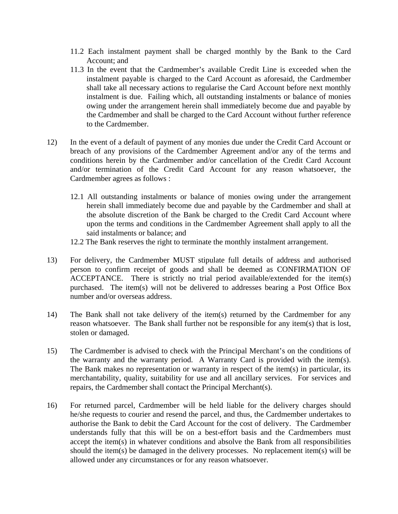- 11.2 Each instalment payment shall be charged monthly by the Bank to the Card Account; and
- 11.3 In the event that the Cardmember's available Credit Line is exceeded when the instalment payable is charged to the Card Account as aforesaid, the Cardmember shall take all necessary actions to regularise the Card Account before next monthly instalment is due. Failing which, all outstanding instalments or balance of monies owing under the arrangement herein shall immediately become due and payable by the Cardmember and shall be charged to the Card Account without further reference to the Cardmember.
- 12) In the event of a default of payment of any monies due under the Credit Card Account or breach of any provisions of the Cardmember Agreement and/or any of the terms and conditions herein by the Cardmember and/or cancellation of the Credit Card Account and/or termination of the Credit Card Account for any reason whatsoever, the Cardmember agrees as follows :
	- 12.1 All outstanding instalments or balance of monies owing under the arrangement herein shall immediately become due and payable by the Cardmember and shall at the absolute discretion of the Bank be charged to the Credit Card Account where upon the terms and conditions in the Cardmember Agreement shall apply to all the said instalments or balance; and
	- 12.2 The Bank reserves the right to terminate the monthly instalment arrangement.
- 13) For delivery, the Cardmember MUST stipulate full details of address and authorised person to confirm receipt of goods and shall be deemed as CONFIRMATION OF ACCEPTANCE. There is strictly no trial period available/extended for the item(s) purchased. The item(s) will not be delivered to addresses bearing a Post Office Box number and/or overseas address.
- 14) The Bank shall not take delivery of the item(s) returned by the Cardmember for any reason whatsoever. The Bank shall further not be responsible for any item(s) that is lost, stolen or damaged.
- 15) The Cardmember is advised to check with the Principal Merchant's on the conditions of the warranty and the warranty period. A Warranty Card is provided with the item(s). The Bank makes no representation or warranty in respect of the item(s) in particular, its merchantability, quality, suitability for use and all ancillary services. For services and repairs, the Cardmember shall contact the Principal Merchant(s).
- 16) For returned parcel, Cardmember will be held liable for the delivery charges should he/she requests to courier and resend the parcel, and thus, the Cardmember undertakes to authorise the Bank to debit the Card Account for the cost of delivery. The Cardmember understands fully that this will be on a best-effort basis and the Cardmembers must accept the item(s) in whatever conditions and absolve the Bank from all responsibilities should the item(s) be damaged in the delivery processes. No replacement item(s) will be allowed under any circumstances or for any reason whatsoever.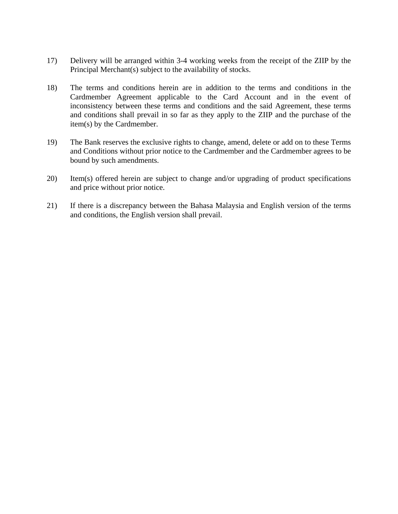- 17) Delivery will be arranged within 3-4 working weeks from the receipt of the ZIIP by the Principal Merchant(s) subject to the availability of stocks.
- 18) The terms and conditions herein are in addition to the terms and conditions in the Cardmember Agreement applicable to the Card Account and in the event of inconsistency between these terms and conditions and the said Agreement, these terms and conditions shall prevail in so far as they apply to the ZIIP and the purchase of the item(s) by the Cardmember.
- 19) The Bank reserves the exclusive rights to change, amend, delete or add on to these Terms and Conditions without prior notice to the Cardmember and the Cardmember agrees to be bound by such amendments.
- 20) Item(s) offered herein are subject to change and/or upgrading of product specifications and price without prior notice.
- 21) If there is a discrepancy between the Bahasa Malaysia and English version of the terms and conditions, the English version shall prevail.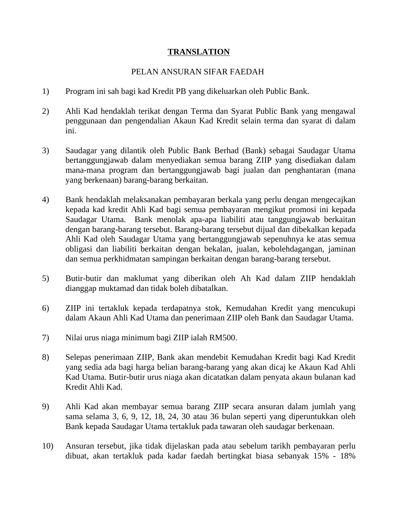## **TRANSLATION**

## PELAN ANSURAN SIFAR FAEDAH

- 1) Program ini sah bagi kad Kredit PB yang dikeluarkan oleh Public Bank.
- 2) Ahli Kad hendaklah terikat dengan Terma dan Syarat Public Bank yang mengawal penggunaan dan pengendalian Akaun Kad Kredit selain terma dan syarat di dalam ini.
- 3) Saudagar yang dilantik oleh Public Bank Berhad (Bank) sebagai Saudagar Utama bertanggungjawab dalam menyediakan semua barang ZIIP yang disediakan dalam mana-mana program dan bertanggungjawab bagi jualan dan penghantaran (mana yang berkenaan) barang-barang berkaitan.
- 4) Bank hendaklah melaksanakan pembayaran berkala yang perlu dengan mengecajkan kepada kad kredit Ahli Kad bagi semua pembayaran mengikut promosi ini kepada Saudagar Utama. Bank menolak apa-apa liabiliti atau tanggungjawab berkaitan dengan barang-barang tersebut. Barang-barang tersebut dijual dan dibekalkan kepada Ahli Kad oleh Saudagar Utama yang bertanggungjawab sepenuhnya ke atas semua obligasi dan liabiliti berkaitan dengan bekalan, jualan, kebolehdagangan, jaminan dan semua perkhidmatan sampingan berkaitan dengan barang-barang tersebut.
- 5) Butir-butir dan maklumat yang diberikan oleh Ah Kad dalam ZIIP hendaklah dianggap muktamad dan tidak boleh dibatalkan.
- 6) ZIIP ini tertakluk kepada terdapatnya stok, Kemudahan Kredit yang mencukupi dalam Akaun Ahli Kad Utama dan penerimaan ZIIP oleh Bank dan Saudagar Utama.
- 7) Nilai urus niaga minimum bagi ZIIP ialah RM500.
- 8) Selepas penerimaan ZIIP, Bank akan mendebit Kemudahan Kredit bagi Kad Kredit yang sedia ada bagi harga belian barang-barang yang akan dicaj ke Akaun Kad Ahli Kad Utama. Butir-butir urus niaga akan dicatatkan dalam penyata akaun bulanan kad Kredit Ahli Kad.
- 9) Ahli Kad akan membayar semua barang ZIIP secara ansuran dalam jumlah yang sama selama 3, 6, 9, 12, 18, 24, 30 atau 36 bulan seperti yang diperuntukkan oleh Bank kepada Saudagar Utama tertakluk pada tawaran oleh saudagar berkenaan.
- 10) Ansuran tersebut, jika tidak dijelaskan pada atau sebelum tarikh pembayaran perlu dibuat, akan tertakluk pada kadar faedah bertingkat biasa sebanyak 15% - 18%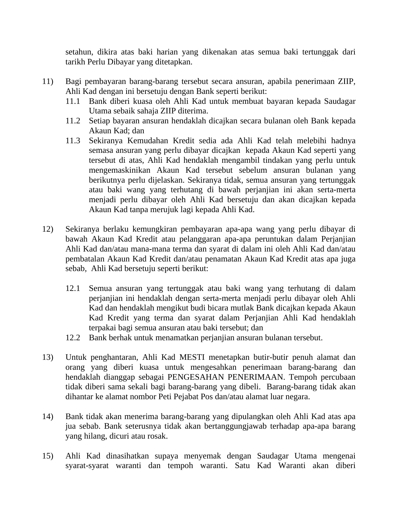setahun, dikira atas baki harian yang dikenakan atas semua baki tertunggak dari tarikh Perlu Dibayar yang ditetapkan.

- 11) Bagi pembayaran barang-barang tersebut secara ansuran, apabila penerimaan ZIIP, Ahli Kad dengan ini bersetuju dengan Bank seperti berikut:
	- 11.1 Bank diberi kuasa oleh Ahli Kad untuk membuat bayaran kepada Saudagar Utama sebaik sahaja ZIIP diterima.
	- 11.2 Setiap bayaran ansuran hendaklah dicajkan secara bulanan oleh Bank kepada Akaun Kad; dan
	- 11.3 Sekiranya Kemudahan Kredit sedia ada Ahli Kad telah melebihi hadnya semasa ansuran yang perlu dibayar dicajkan kepada Akaun Kad seperti yang tersebut di atas, Ahli Kad hendaklah mengambil tindakan yang perlu untuk mengemaskinikan Akaun Kad tersebut sebelum ansuran bulanan yang berikutnya perlu dijelaskan. Sekiranya tidak, semua ansuran yang tertunggak atau baki wang yang terhutang di bawah perjanjian ini akan serta-merta menjadi perlu dibayar oleh Ahli Kad bersetuju dan akan dicajkan kepada Akaun Kad tanpa merujuk lagi kepada Ahli Kad.
- 12) Sekiranya berlaku kemungkiran pembayaran apa-apa wang yang perlu dibayar di bawah Akaun Kad Kredit atau pelanggaran apa-apa peruntukan dalam Perjanjian Ahli Kad dan/atau mana-mana terma dan syarat di dalam ini oleh Ahli Kad dan/atau pembatalan Akaun Kad Kredit dan/atau penamatan Akaun Kad Kredit atas apa juga sebab, Ahli Kad bersetuju seperti berikut:
	- 12.1 Semua ansuran yang tertunggak atau baki wang yang terhutang di dalam perjanjian ini hendaklah dengan serta-merta menjadi perlu dibayar oleh Ahli Kad dan hendaklah mengikut budi bicara mutlak Bank dicajkan kepada Akaun Kad Kredit yang terma dan syarat dalam Perjanjian Ahli Kad hendaklah terpakai bagi semua ansuran atau baki tersebut; dan
	- 12.2 Bank berhak untuk menamatkan perjanjian ansuran bulanan tersebut.
- 13) Untuk penghantaran, Ahli Kad MESTI menetapkan butir-butir penuh alamat dan orang yang diberi kuasa untuk mengesahkan penerimaan barang-barang dan hendaklah dianggap sebagai PENGESAHAN PENERIMAAN. Tempoh percubaan tidak diberi sama sekali bagi barang-barang yang dibeli. Barang-barang tidak akan dihantar ke alamat nombor Peti Pejabat Pos dan/atau alamat luar negara.
- 14) Bank tidak akan menerima barang-barang yang dipulangkan oleh Ahli Kad atas apa jua sebab. Bank seterusnya tidak akan bertanggungjawab terhadap apa-apa barang yang hilang, dicuri atau rosak.
- 15) Ahli Kad dinasihatkan supaya menyemak dengan Saudagar Utama mengenai syarat-syarat waranti dan tempoh waranti. Satu Kad Waranti akan diberi